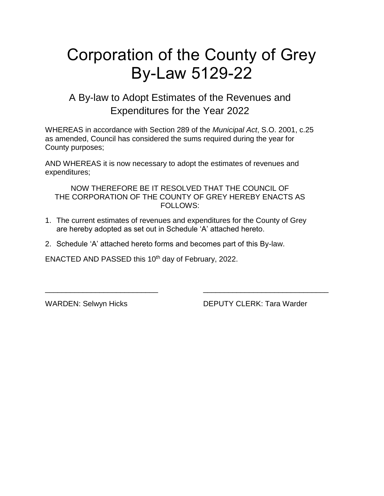# Corporation of the County of Grey By-Law 5129-22

# A By-law to Adopt Estimates of the Revenues and Expenditures for the Year 2022

WHEREAS in accordance with Section 289 of the *Municipal Act*, S.O. 2001, c.25 as amended, Council has considered the sums required during the year for County purposes;

AND WHEREAS it is now necessary to adopt the estimates of revenues and expenditures;

NOW THEREFORE BE IT RESOLVED THAT THE COUNCIL OF THE CORPORATION OF THE COUNTY OF GREY HEREBY ENACTS AS FOLLOWS:

1. The current estimates of revenues and expenditures for the County of Grey are hereby adopted as set out in Schedule 'A' attached hereto.

\_\_\_\_\_\_\_\_\_\_\_\_\_\_\_\_\_\_\_\_\_\_\_\_\_\_\_ \_\_\_\_\_\_\_\_\_\_\_\_\_\_\_\_\_\_\_\_\_\_\_\_\_\_\_\_\_\_

2. Schedule 'A' attached hereto forms and becomes part of this By-law.

ENACTED AND PASSED this  $10<sup>th</sup>$  day of February, 2022.

WARDEN: Selwyn Hicks DEPUTY CLERK: Tara Warder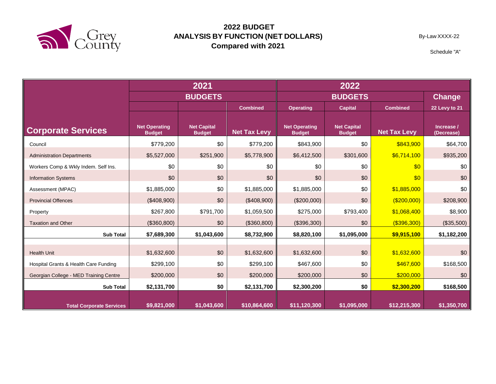

By-Law XXXX-22

|                                        | 2021<br><b>BUDGETS</b><br><b>Net Capital</b><br><b>Net Operating</b><br><b>Budget</b><br><b>Budget</b><br>\$0<br>\$779,200<br>\$251,900<br>\$5,527,000 |             |                     |                                       | 2022                                |                     |                          |
|----------------------------------------|--------------------------------------------------------------------------------------------------------------------------------------------------------|-------------|---------------------|---------------------------------------|-------------------------------------|---------------------|--------------------------|
|                                        |                                                                                                                                                        |             |                     |                                       | <b>Change</b>                       |                     |                          |
|                                        |                                                                                                                                                        |             | <b>Combined</b>     | <b>Operating</b>                      | <b>Capital</b>                      | <b>Combined</b>     | 22 Levy to 21            |
| <b>Corporate Services</b>              |                                                                                                                                                        |             | <b>Net Tax Levy</b> | <b>Net Operating</b><br><b>Budget</b> | <b>Net Capital</b><br><b>Budget</b> | <b>Net Tax Levy</b> | Increase /<br>(Decrease) |
| Council                                |                                                                                                                                                        |             | \$779,200           | \$843,900                             | \$0                                 | \$843,900           | \$64,700                 |
| <b>Administration Departments</b>      |                                                                                                                                                        |             | \$5,778,900         | \$6,412,500                           | \$301,600                           | \$6,714,100         | \$935,200                |
| Workers Comp & Wkly Indem. Self Ins.   | \$0                                                                                                                                                    | \$0         | \$0                 | \$0                                   | \$0                                 | \$0                 | \$0                      |
| <b>Information Systems</b>             | \$0                                                                                                                                                    | \$0         | \$0                 | \$0                                   | \$0                                 | \$0                 | \$0                      |
| Assessment (MPAC)                      | \$1,885,000                                                                                                                                            | \$0         | \$1,885,000         | \$1,885,000                           | \$0                                 | \$1,885,000         | \$0                      |
| <b>Provincial Offences</b>             | (\$408,900)                                                                                                                                            | \$0         | (\$408,900)         | (\$200,000)                           | \$0                                 | ( \$200,000)        | \$208,900                |
| Property                               | \$267,800                                                                                                                                              | \$791,700   | \$1,059,500         | \$275,000                             | \$793,400                           | \$1,068,400         | \$8,900                  |
| <b>Taxation and Other</b>              | (\$360, 800)                                                                                                                                           | \$0         | (\$360,800)         | (\$396,300)                           | \$0                                 | $($ \$396,300)      | (\$35,500)               |
| <b>Sub Total</b>                       | \$7,689,300                                                                                                                                            | \$1,043,600 | \$8,732,900         | \$8,820,100                           | \$1,095,000                         | \$9,915,100         | \$1,182,200              |
|                                        |                                                                                                                                                        |             |                     |                                       |                                     |                     |                          |
| <b>Health Unit</b>                     | \$1,632,600                                                                                                                                            | \$0         | \$1,632,600         | \$1,632,600                           | \$0                                 | \$1,632,600         | \$0                      |
| Hospital Grants & Health Care Funding  | \$299,100                                                                                                                                              | \$0         | \$299,100           | \$467,600                             | \$0                                 | \$467,600           | \$168,500                |
| Georgian College - MED Training Centre | \$200,000                                                                                                                                              | \$0         | \$200,000           | \$200,000                             | \$0                                 | \$200,000           | \$0                      |
| <b>Sub Total</b>                       | \$2,131,700                                                                                                                                            | \$0         | \$2,131,700         | \$2,300,200                           | \$0                                 | \$2,300,200         | \$168,500                |
| <b>Total Corporate Services</b>        | \$9,821,000                                                                                                                                            | \$1,043,600 | \$10,864,600        | \$11,120,300                          | \$1,095,000                         | \$12,215,300        | \$1,350,700              |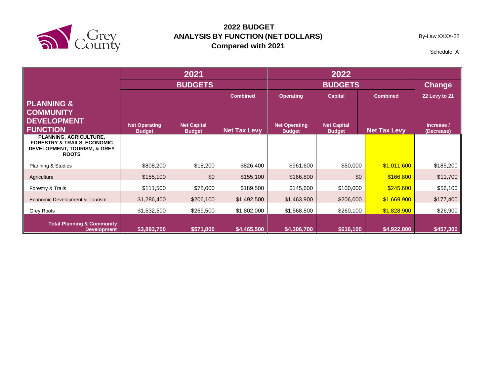

By-Law XXXX-22

|                                                                                                                                    | 2021                                  |                                     |                     | 2022                                  |                                     |                     |                          |
|------------------------------------------------------------------------------------------------------------------------------------|---------------------------------------|-------------------------------------|---------------------|---------------------------------------|-------------------------------------|---------------------|--------------------------|
|                                                                                                                                    | <b>BUDGETS</b>                        |                                     |                     |                                       | <b>Change</b>                       |                     |                          |
|                                                                                                                                    |                                       |                                     | <b>Combined</b>     | <b>Operating</b>                      | <b>Capital</b>                      | <b>Combined</b>     | 22 Levy to 21            |
| <b>PLANNING &amp;</b>                                                                                                              |                                       |                                     |                     |                                       |                                     |                     |                          |
| <b>COMMUNITY</b>                                                                                                                   |                                       |                                     |                     |                                       |                                     |                     |                          |
| <b>DEVELOPMENT</b><br><b>FUNCTION</b>                                                                                              | <b>Net Operating</b><br><b>Budget</b> | <b>Net Capital</b><br><b>Budget</b> | <b>Net Tax Levy</b> | <b>Net Operating</b><br><b>Budget</b> | <b>Net Capital</b><br><b>Budget</b> | <b>Net Tax Levy</b> | Increase /<br>(Decrease) |
| <b>PLANNING, AGRICULTURE,</b><br><b>FORESTRY &amp; TRAILS, ECONOMIC</b><br><b>DEVELOPMENT, TOURISM, &amp; GREY</b><br><b>ROOTS</b> |                                       |                                     |                     |                                       |                                     |                     |                          |
| Planning & Studies                                                                                                                 | \$808,200                             | \$18,200                            | \$826,400           | \$961,600                             | \$50,000                            | \$1,011,600         | \$185,200                |
| Agriculture                                                                                                                        | \$155,100                             | \$0                                 | \$155,100           | \$166,800                             | \$0                                 | \$166,800           | \$11,700                 |
| Forestry & Trails                                                                                                                  | \$111,500                             | \$78,000                            | \$189,500           | \$145,600                             | \$100,000                           | \$245,600           | \$56,100                 |
| Economic Development & Tourism                                                                                                     | \$1,286,400                           | \$206,100                           | \$1,492,500         | \$1,463,900                           | \$206,000                           | \$1,669,900         | \$177,400                |
| <b>Grey Roots</b>                                                                                                                  | \$1,532,500                           | \$269,500                           | \$1,802,000         | \$1,568,800                           | \$260,100                           | \$1,828,900         | \$26,900                 |
| <b>Total Planning &amp; Community</b><br><b>Development</b>                                                                        | \$3,893,700                           | \$571,800                           | \$4,465,500         | \$4,306,700                           | \$616,100                           | \$4,922,800         | \$457,300                |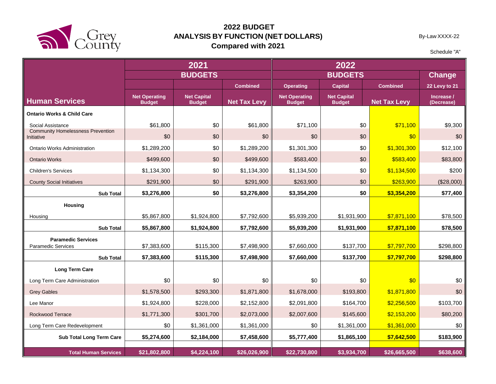

By-Law XXXX-22

|                                                        | 2021                                  |                                     |                     |                                       |                                     |                     |                          |
|--------------------------------------------------------|---------------------------------------|-------------------------------------|---------------------|---------------------------------------|-------------------------------------|---------------------|--------------------------|
|                                                        |                                       | <b>BUDGETS</b>                      |                     |                                       | <b>BUDGETS</b>                      |                     | <b>Change</b>            |
|                                                        |                                       |                                     | <b>Combined</b>     | <b>Operating</b>                      | <b>Capital</b>                      | <b>Combined</b>     | 22 Levy to 21            |
| <b>Human Services</b>                                  | <b>Net Operating</b><br><b>Budget</b> | <b>Net Capital</b><br><b>Budget</b> | <b>Net Tax Levy</b> | <b>Net Operating</b><br><b>Budget</b> | <b>Net Capital</b><br><b>Budget</b> | <b>Net Tax Levy</b> | Increase /<br>(Decrease) |
| <b>Ontario Works &amp; Child Care</b>                  |                                       |                                     |                     |                                       |                                     |                     |                          |
| Social Assistance                                      | \$61,800                              | \$0                                 | \$61,800            | \$71,100                              | \$0                                 | \$71,100            | \$9,300                  |
| <b>Community Homelessness Prevention</b><br>Initiative | \$0                                   | \$0                                 | \$0                 | \$0                                   | \$0                                 | \$0                 | \$0                      |
| <b>Ontario Works Administration</b>                    | \$1,289,200                           | \$0                                 | \$1,289,200         | \$1,301,300                           | \$0                                 | \$1,301,300         | \$12,100                 |
| <b>Ontario Works</b>                                   | \$499,600                             | \$0                                 | \$499,600           | \$583,400                             | \$0                                 | \$583,400           | \$83,800                 |
| <b>Children's Services</b>                             | \$1,134,300                           | \$0                                 | \$1,134,300         | \$1,134,500                           | \$0                                 | \$1,134,500         | \$200                    |
| <b>County Social Initiatives</b>                       | \$291,900                             | \$0                                 | \$291,900           | \$263,900                             | \$0                                 | \$263,900           | (\$28,000)               |
| <b>Sub Total</b>                                       | \$3,276,800                           | \$0                                 | \$3,276,800         | \$3,354,200                           | \$0                                 | \$3,354,200         | \$77,400                 |
| <b>Housing</b>                                         |                                       |                                     |                     |                                       |                                     |                     |                          |
| Housing                                                | \$5,867,800                           | \$1,924,800                         | \$7,792,600         | \$5,939,200                           | \$1,931,900                         | \$7,871,100         | \$78,500                 |
| <b>Sub Total</b>                                       | \$5,867,800                           | \$1,924,800                         | \$7,792,600         | \$5,939,200                           | \$1,931,900                         | \$7,871,100         | \$78,500                 |
| <b>Paramedic Services</b><br><b>Paramedic Services</b> | \$7,383,600                           | \$115,300                           | \$7,498,900         | \$7,660,000                           | \$137,700                           | \$7,797,700         | \$298.800                |
| <b>Sub Total</b>                                       | \$7,383,600                           | \$115,300                           | \$7,498,900         | \$7,660,000                           | \$137,700                           | \$7,797,700         | \$298,800                |
| <b>Long Term Care</b>                                  |                                       |                                     |                     |                                       |                                     |                     |                          |
| Long Term Care Administration                          | \$0                                   | \$0                                 | \$0                 | \$0                                   | \$0                                 | \$0                 | \$0                      |
| <b>Grey Gables</b>                                     | \$1,578,500                           | \$293,300                           | \$1,871,800         | \$1,678,000                           | \$193,800                           | \$1,871,800         | \$0                      |
| Lee Manor                                              | \$1,924,800                           | \$228,000                           | \$2,152,800         | \$2,091,800                           | \$164,700                           | \$2,256,500         | \$103,700                |
| <b>Rockwood Terrace</b>                                | \$1,771,300                           | \$301,700                           | \$2,073,000         | \$2,007,600                           | \$145,600                           | \$2,153,200         | \$80,200                 |
| Long Term Care Redevelopment                           | \$0                                   | \$1,361,000                         | \$1,361,000         | \$0                                   | \$1,361,000                         | \$1,361,000         | \$0                      |
| <b>Sub Total Long Term Care</b>                        | \$5,274,600                           | \$2,184,000                         | \$7,458,600         | \$5,777,400                           | \$1,865,100                         | \$7,642,500         | \$183,900                |
|                                                        |                                       |                                     |                     |                                       |                                     |                     |                          |
| <b>Total Human Services</b>                            | \$21,802,800                          | \$4,224,100                         | \$26,026,900        | \$22,730,800                          | \$3,934,700                         | \$26,665,500        | \$638,600                |